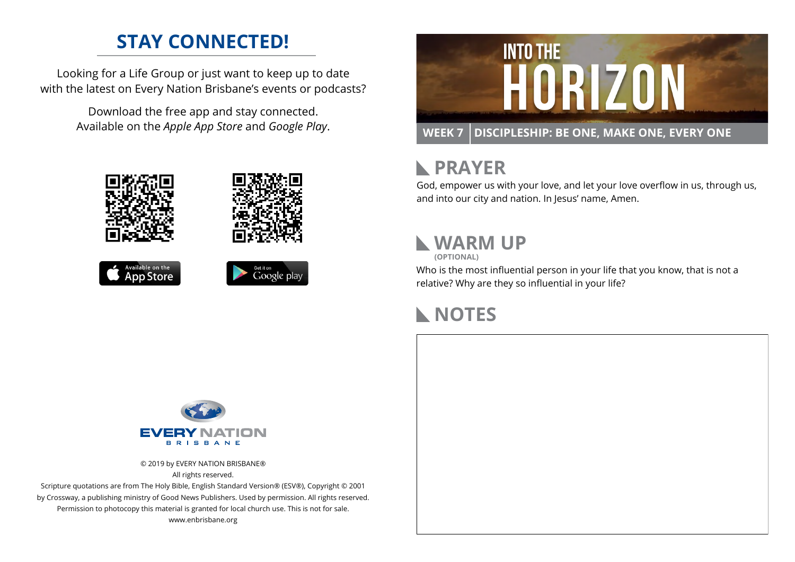#### **STAY CONNECTED!**

Looking for a Life Group or just want to keep up to date with the latest on Every Nation Brisbane's events or podcasts?

> Download the free app and stay connected. Available on the *Apple App Store* and *Google Play*.











## **RAYER**

God, empower us with your love, and let your love overflow in us, through us, and into our city and nation. In Jesus' name, Amen.

## **WARM UP**

**(OPTIONAL)**

Who is the most influential person in your life that you know, that is not a relative? Why are they so influential in your life?

#### **NOTES**



© 2019 by EVERY NATION BRISBANE® All rights reserved.

Scripture quotations are from The Holy Bible, English Standard Version® (ESV®), Copyright © 2001 by Crossway, a publishing ministry of Good News Publishers. Used by permission. All rights reserved. Permission to photocopy this material is granted for local church use. This is not for sale. www.enbrisbane.org